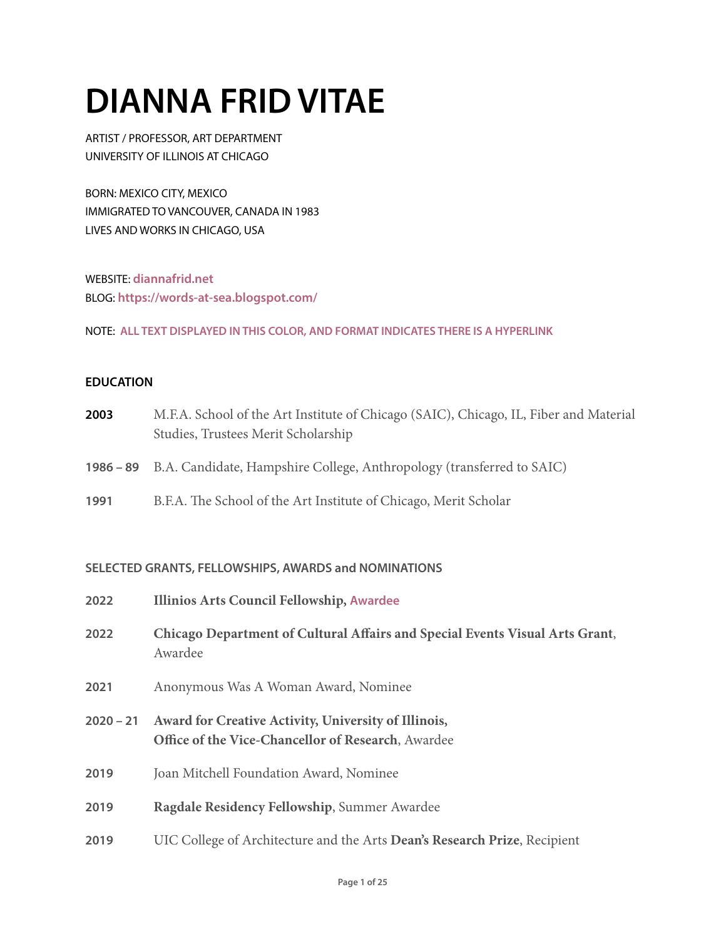# **DIANNA FRID VITAE**

ARTIST / PROFESSOR, ART DEPARTMENT UNIVERSITY OF ILLINOIS AT CHICAGO

BORN: MEXICO CITY, MEXICO IMMIGRATED TO VANCOUVER, CANADA IN 1983 LIVES AND WORKS IN CHICAGO, USA

WEBSITE: **[diannafrid.net](http://diannafrid.net)** BLOG: **<https://words-at-sea.blogspot.com/>**

NOTE: **ALL TEXT DISPLAYED IN THIS COLOR, AND FORMAT INDICATES THERE IS A HYPERLINK**

#### **EDUCATION**

- **2003** M.F.A. School of the Art Institute of Chicago (SAIC), Chicago, IL, Fiber and Material Studies, Trustees Merit Scholarship
- **1986 89** B.A. Candidate, Hampshire College, Anthropology (transferred to SAIC)
- **1991** B.F.A. The School of the Art Institute of Chicago, Merit Scholar

#### **SELECTED GRANTS, FELLOWSHIPS, AWARDS and NOMINATIONS**

| 2022        | <b>Illinios Arts Council Fellowship, Awardee</b>                                                           |
|-------------|------------------------------------------------------------------------------------------------------------|
| 2022        | Chicago Department of Cultural Affairs and Special Events Visual Arts Grant,<br>Awardee                    |
| 2021        | Anonymous Was A Woman Award, Nominee                                                                       |
| $2020 - 21$ | Award for Creative Activity, University of Illinois,<br>Office of the Vice-Chancellor of Research, Awardee |
| 2019        | Joan Mitchell Foundation Award, Nominee                                                                    |
| 2019        | Ragdale Residency Fellowship, Summer Awardee                                                               |
| 2019        | UIC College of Architecture and the Arts Dean's Research Prize, Recipient                                  |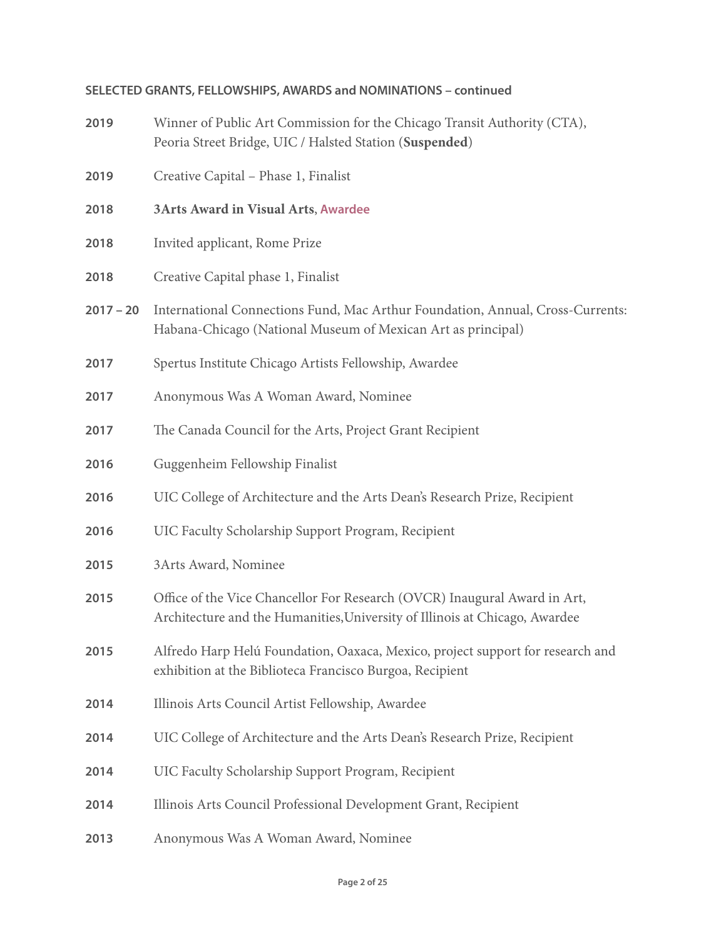## **SELECTED GRANTS, FELLOWSHIPS, AWARDS and NOMINATIONS – continued**

| 2019        | Winner of Public Art Commission for the Chicago Transit Authority (CTA),<br>Peoria Street Bridge, UIC / Halsted Station (Suspended)                      |
|-------------|----------------------------------------------------------------------------------------------------------------------------------------------------------|
| 2019        | Creative Capital - Phase 1, Finalist                                                                                                                     |
| 2018        | <b>3Arts Award in Visual Arts, Awardee</b>                                                                                                               |
| 2018        | Invited applicant, Rome Prize                                                                                                                            |
| 2018        | Creative Capital phase 1, Finalist                                                                                                                       |
| $2017 - 20$ | International Connections Fund, Mac Arthur Foundation, Annual, Cross-Currents:<br>Habana-Chicago (National Museum of Mexican Art as principal)           |
| 2017        | Spertus Institute Chicago Artists Fellowship, Awardee                                                                                                    |
| 2017        | Anonymous Was A Woman Award, Nominee                                                                                                                     |
| 2017        | The Canada Council for the Arts, Project Grant Recipient                                                                                                 |
| 2016        | Guggenheim Fellowship Finalist                                                                                                                           |
| 2016        | UIC College of Architecture and the Arts Dean's Research Prize, Recipient                                                                                |
| 2016        | UIC Faculty Scholarship Support Program, Recipient                                                                                                       |
| 2015        | 3Arts Award, Nominee                                                                                                                                     |
| 2015        | Office of the Vice Chancellor For Research (OVCR) Inaugural Award in Art,<br>Architecture and the Humanities, University of Illinois at Chicago, Awardee |
| 2015        | Alfredo Harp Helú Foundation, Oaxaca, Mexico, project support for research and<br>exhibition at the Biblioteca Francisco Burgoa, Recipient               |
| 2014        | Illinois Arts Council Artist Fellowship, Awardee                                                                                                         |
| 2014        | UIC College of Architecture and the Arts Dean's Research Prize, Recipient                                                                                |
| 2014        | UIC Faculty Scholarship Support Program, Recipient                                                                                                       |
| 2014        | Illinois Arts Council Professional Development Grant, Recipient                                                                                          |
| 2013        | Anonymous Was A Woman Award, Nominee                                                                                                                     |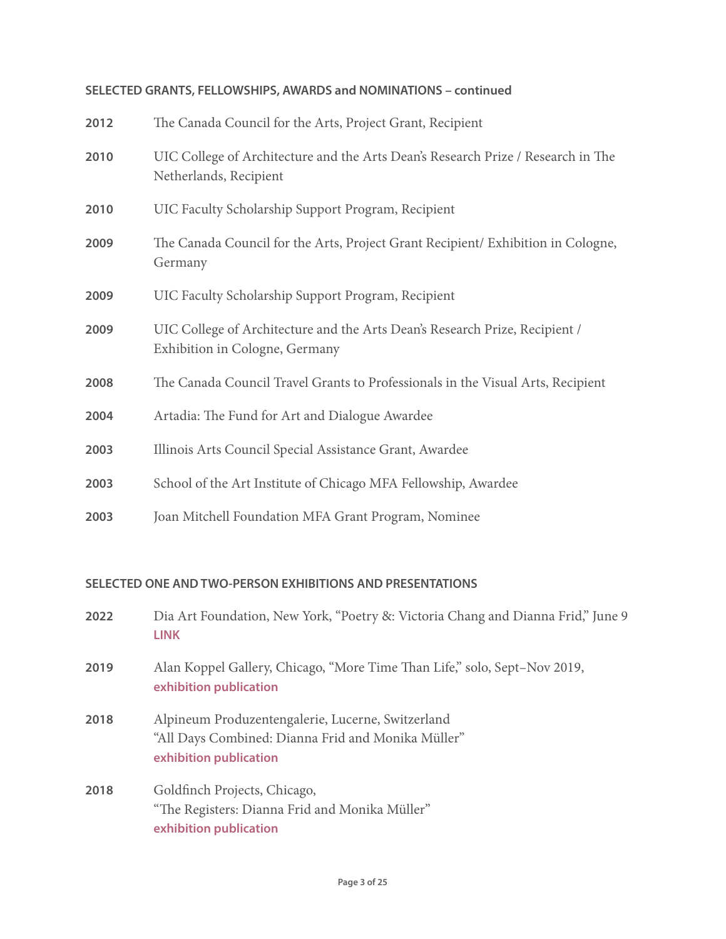# **SELECTED GRANTS, FELLOWSHIPS, AWARDS and NOMINATIONS – continued**

| 2012 | The Canada Council for the Arts, Project Grant, Recipient                                                     |
|------|---------------------------------------------------------------------------------------------------------------|
| 2010 | UIC College of Architecture and the Arts Dean's Research Prize / Research in The<br>Netherlands, Recipient    |
| 2010 | UIC Faculty Scholarship Support Program, Recipient                                                            |
| 2009 | The Canada Council for the Arts, Project Grant Recipient/ Exhibition in Cologne,<br>Germany                   |
| 2009 | UIC Faculty Scholarship Support Program, Recipient                                                            |
| 2009 | UIC College of Architecture and the Arts Dean's Research Prize, Recipient /<br>Exhibition in Cologne, Germany |
| 2008 | The Canada Council Travel Grants to Professionals in the Visual Arts, Recipient                               |
| 2004 | Artadia: The Fund for Art and Dialogue Awardee                                                                |
| 2003 | Illinois Arts Council Special Assistance Grant, Awardee                                                       |
| 2003 | School of the Art Institute of Chicago MFA Fellowship, Awardee                                                |
| 2003 | Joan Mitchell Foundation MFA Grant Program, Nominee                                                           |

# **SELECTED ONE AND TWO-PERSON EXHIBITIONS AND PRESENTATIONS**

| 2022 | Dia Art Foundation, New York, "Poetry &: Victoria Chang and Dianna Frid," June 9<br><b>LINK</b>                                   |
|------|-----------------------------------------------------------------------------------------------------------------------------------|
| 2019 | Alan Koppel Gallery, Chicago, "More Time Than Life," solo, Sept-Nov 2019,<br>exhibition publication                               |
| 2018 | Alpineum Produzentengalerie, Lucerne, Switzerland<br>"All Days Combined: Dianna Frid and Monika Müller"<br>exhibition publication |
| 2018 | Goldfinch Projects, Chicago,<br>"The Registers: Dianna Frid and Monika Müller"<br>exhibition publication                          |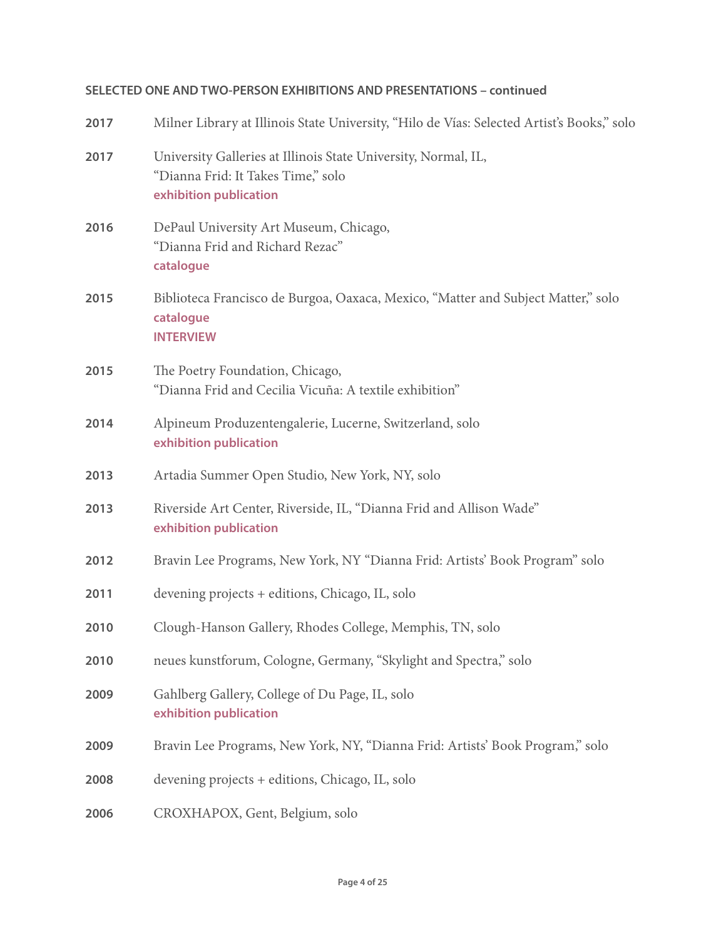# **SELECTED ONE AND TWO-PERSON EXHIBITIONS AND PRESENTATIONS – continued**

| 2017 | Milner Library at Illinois State University, "Hilo de Vías: Selected Artist's Books," solo                                     |
|------|--------------------------------------------------------------------------------------------------------------------------------|
| 2017 | University Galleries at Illinois State University, Normal, IL,<br>"Dianna Frid: It Takes Time," solo<br>exhibition publication |
| 2016 | DePaul University Art Museum, Chicago,<br>"Dianna Frid and Richard Rezac"<br>catalogue                                         |
| 2015 | Biblioteca Francisco de Burgoa, Oaxaca, Mexico, "Matter and Subject Matter," solo<br>catalogue<br><b>INTERVIEW</b>             |
| 2015 | The Poetry Foundation, Chicago,<br>"Dianna Frid and Cecilia Vicuña: A textile exhibition"                                      |
| 2014 | Alpineum Produzentengalerie, Lucerne, Switzerland, solo<br>exhibition publication                                              |
| 2013 | Artadia Summer Open Studio, New York, NY, solo                                                                                 |
| 2013 | Riverside Art Center, Riverside, IL, "Dianna Frid and Allison Wade"<br>exhibition publication                                  |
| 2012 | Bravin Lee Programs, New York, NY "Dianna Frid: Artists' Book Program" solo                                                    |
| 2011 | devening projects + editions, Chicago, IL, solo                                                                                |
| 2010 | Clough-Hanson Gallery, Rhodes College, Memphis, TN, solo                                                                       |
| 2010 | neues kunstforum, Cologne, Germany, "Skylight and Spectra," solo                                                               |
| 2009 | Gahlberg Gallery, College of Du Page, IL, solo<br>exhibition publication                                                       |
| 2009 | Bravin Lee Programs, New York, NY, "Dianna Frid: Artists' Book Program," solo                                                  |
| 2008 | devening projects + editions, Chicago, IL, solo                                                                                |
| 2006 | CROXHAPOX, Gent, Belgium, solo                                                                                                 |
|      |                                                                                                                                |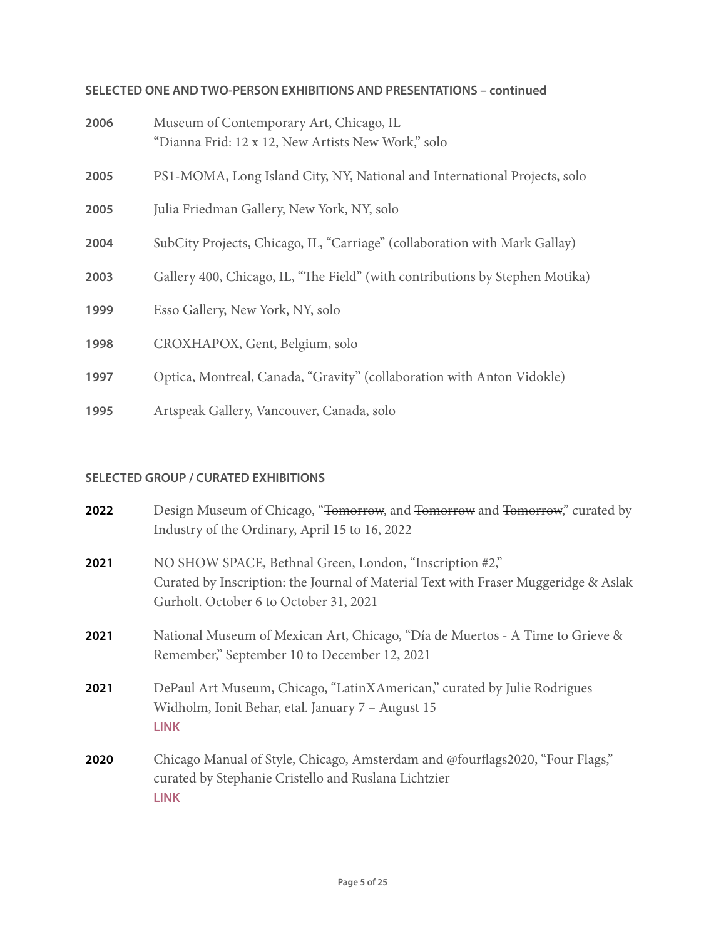# **SELECTED ONE AND TWO-PERSON EXHIBITIONS AND PRESENTATIONS – continued**

| 2006 | Museum of Contemporary Art, Chicago, IL<br>"Dianna Frid: 12 x 12, New Artists New Work," solo |
|------|-----------------------------------------------------------------------------------------------|
| 2005 | PS1-MOMA, Long Island City, NY, National and International Projects, solo                     |
| 2005 | Julia Friedman Gallery, New York, NY, solo                                                    |
| 2004 | SubCity Projects, Chicago, IL, "Carriage" (collaboration with Mark Gallay)                    |
| 2003 | Gallery 400, Chicago, IL, "The Field" (with contributions by Stephen Motika)                  |
| 1999 | Esso Gallery, New York, NY, solo                                                              |
| 1998 | CROXHAPOX, Gent, Belgium, solo                                                                |
| 1997 | Optica, Montreal, Canada, "Gravity" (collaboration with Anton Vidokle)                        |
| 1995 | Artspeak Gallery, Vancouver, Canada, solo                                                     |

## **SELECTED GROUP / CURATED EXHIBITIONS**

| 2022 | Design Museum of Chicago, "Tomorrow, and Tomorrow and Tomorrow," curated by<br>Industry of the Ordinary, April 15 to 16, 2022                                                            |
|------|------------------------------------------------------------------------------------------------------------------------------------------------------------------------------------------|
| 2021 | NO SHOW SPACE, Bethnal Green, London, "Inscription #2,"<br>Curated by Inscription: the Journal of Material Text with Fraser Muggeridge & Aslak<br>Gurholt. October 6 to October 31, 2021 |
| 2021 | National Museum of Mexican Art, Chicago, "Día de Muertos - A Time to Grieve &<br>Remember," September 10 to December 12, 2021                                                            |
| 2021 | DePaul Art Museum, Chicago, "LatinXAmerican," curated by Julie Rodrigues<br>Widholm, Ionit Behar, etal. January 7 - August 15<br><b>LINK</b>                                             |
| 2020 | Chicago Manual of Style, Chicago, Amsterdam and @fourflags2020, "Four Flags,"<br>curated by Stephanie Cristello and Ruslana Lichtzier<br><b>LINK</b>                                     |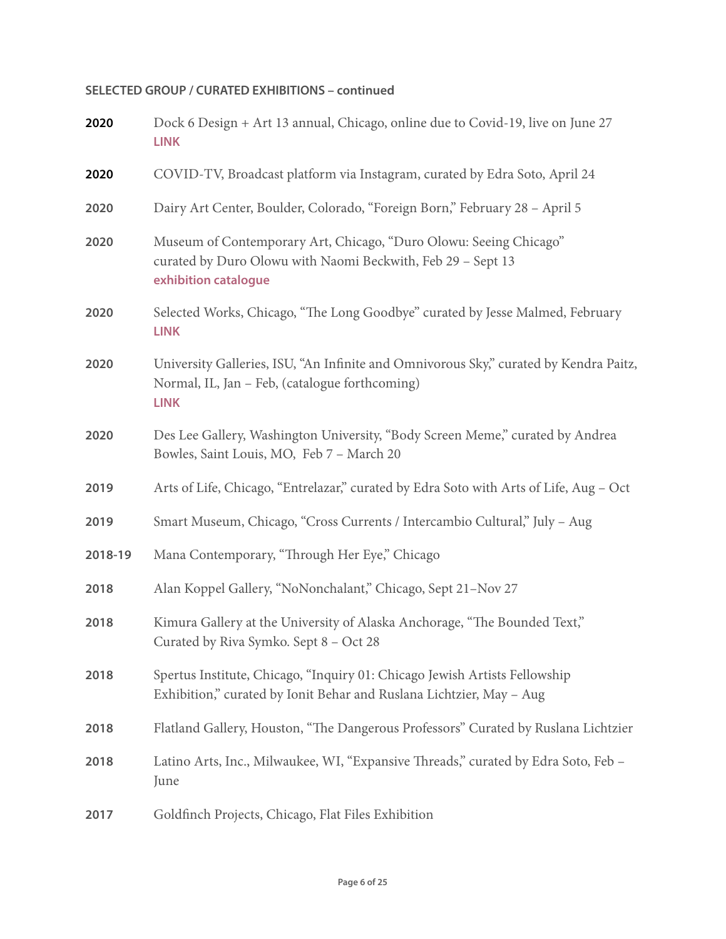| 2020    | Dock 6 Design + Art 13 annual, Chicago, online due to Covid-19, live on June 27<br><b>LINK</b>                                                           |
|---------|----------------------------------------------------------------------------------------------------------------------------------------------------------|
| 2020    | COVID-TV, Broadcast platform via Instagram, curated by Edra Soto, April 24                                                                               |
| 2020    | Dairy Art Center, Boulder, Colorado, "Foreign Born," February 28 - April 5                                                                               |
| 2020    | Museum of Contemporary Art, Chicago, "Duro Olowu: Seeing Chicago"<br>curated by Duro Olowu with Naomi Beckwith, Feb 29 - Sept 13<br>exhibition catalogue |
| 2020    | Selected Works, Chicago, "The Long Goodbye" curated by Jesse Malmed, February<br><b>LINK</b>                                                             |
| 2020    | University Galleries, ISU, "An Infinite and Omnivorous Sky," curated by Kendra Paitz,<br>Normal, IL, Jan - Feb, (catalogue forthcoming)<br><b>LINK</b>   |
| 2020    | Des Lee Gallery, Washington University, "Body Screen Meme," curated by Andrea<br>Bowles, Saint Louis, MO, Feb 7 - March 20                               |
| 2019    | Arts of Life, Chicago, "Entrelazar," curated by Edra Soto with Arts of Life, Aug - Oct                                                                   |
| 2019    | Smart Museum, Chicago, "Cross Currents / Intercambio Cultural," July - Aug                                                                               |
| 2018-19 | Mana Contemporary, "Through Her Eye," Chicago                                                                                                            |
| 2018    | Alan Koppel Gallery, "NoNonchalant," Chicago, Sept 21-Nov 27                                                                                             |
| 2018    | Kimura Gallery at the University of Alaska Anchorage, "The Bounded Text,"<br>Curated by Riva Symko. Sept 8 - Oct 28                                      |
| 2018    | Spertus Institute, Chicago, "Inquiry 01: Chicago Jewish Artists Fellowship<br>Exhibition," curated by Ionit Behar and Ruslana Lichtzier, May - Aug       |
| 2018    | Flatland Gallery, Houston, "The Dangerous Professors" Curated by Ruslana Lichtzier                                                                       |
| 2018    | Latino Arts, Inc., Milwaukee, WI, "Expansive Threads," curated by Edra Soto, Feb -<br>June                                                               |
| 2017    | Goldfinch Projects, Chicago, Flat Files Exhibition                                                                                                       |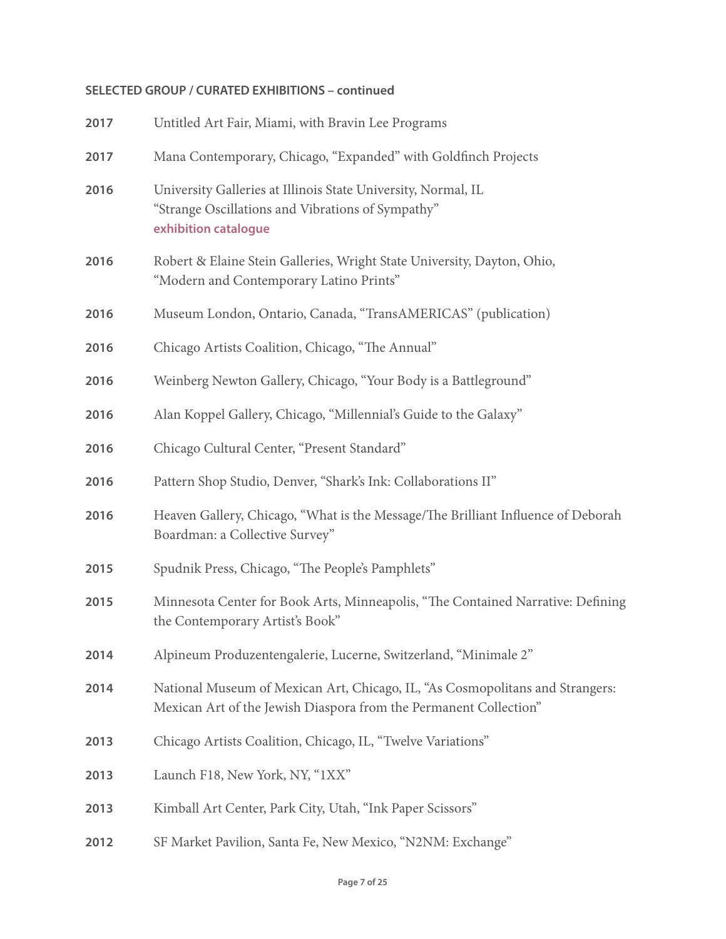| 2017 | Untitled Art Fair, Miami, with Bravin Lee Programs                                                                                                 |
|------|----------------------------------------------------------------------------------------------------------------------------------------------------|
| 2017 | Mana Contemporary, Chicago, "Expanded" with Goldfinch Projects                                                                                     |
| 2016 | University Galleries at Illinois State University, Normal, IL<br>"Strange Oscillations and Vibrations of Sympathy"<br>exhibition catalogue         |
| 2016 | Robert & Elaine Stein Galleries, Wright State University, Dayton, Ohio,<br>"Modern and Contemporary Latino Prints"                                 |
| 2016 | Museum London, Ontario, Canada, "TransAMERICAS" (publication)                                                                                      |
| 2016 | Chicago Artists Coalition, Chicago, "The Annual"                                                                                                   |
| 2016 | Weinberg Newton Gallery, Chicago, "Your Body is a Battleground"                                                                                    |
| 2016 | Alan Koppel Gallery, Chicago, "Millennial's Guide to the Galaxy"                                                                                   |
| 2016 | Chicago Cultural Center, "Present Standard"                                                                                                        |
| 2016 | Pattern Shop Studio, Denver, "Shark's Ink: Collaborations II"                                                                                      |
| 2016 | Heaven Gallery, Chicago, "What is the Message/The Brilliant Influence of Deborah<br>Boardman: a Collective Survey"                                 |
| 2015 | Spudnik Press, Chicago, "The People's Pamphlets"                                                                                                   |
| 2015 | Minnesota Center for Book Arts, Minneapolis, "The Contained Narrative: Defining<br>the Contemporary Artist's Book"                                 |
| 2014 | Alpineum Produzentengalerie, Lucerne, Switzerland, "Minimale 2"                                                                                    |
| 2014 | National Museum of Mexican Art, Chicago, IL, "As Cosmopolitans and Strangers:<br>Mexican Art of the Jewish Diaspora from the Permanent Collection" |
| 2013 | Chicago Artists Coalition, Chicago, IL, "Twelve Variations"                                                                                        |
| 2013 | Launch F18, New York, NY, "1XX"                                                                                                                    |
| 2013 | Kimball Art Center, Park City, Utah, "Ink Paper Scissors"                                                                                          |
|      |                                                                                                                                                    |

SF Market Pavilion, Santa Fe, New Mexico, "N2NM: Exchange"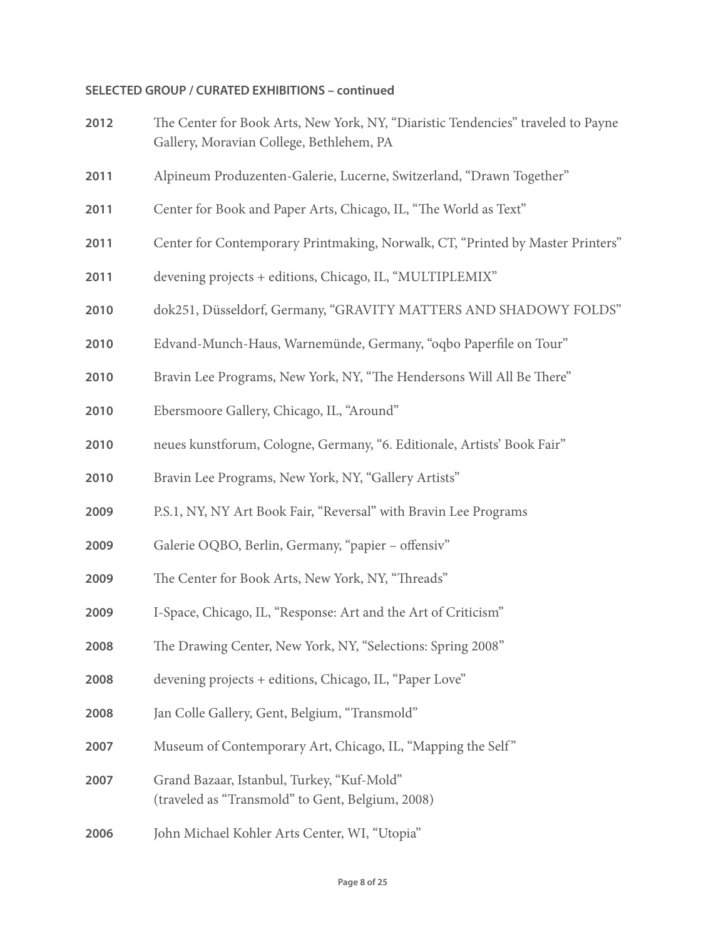| 2012 | The Center for Book Arts, New York, NY, "Diaristic Tendencies" traveled to Payne<br>Gallery, Moravian College, Bethlehem, PA |
|------|------------------------------------------------------------------------------------------------------------------------------|
| 2011 | Alpineum Produzenten-Galerie, Lucerne, Switzerland, "Drawn Together"                                                         |
| 2011 | Center for Book and Paper Arts, Chicago, IL, "The World as Text"                                                             |
| 2011 | Center for Contemporary Printmaking, Norwalk, CT, "Printed by Master Printers"                                               |
| 2011 | devening projects + editions, Chicago, IL, "MULTIPLEMIX"                                                                     |
| 2010 | dok251, Düsseldorf, Germany, "GRAVITY MATTERS AND SHADOWY FOLDS"                                                             |
| 2010 | Edvand-Munch-Haus, Warnemünde, Germany, "oqbo Paperfile on Tour"                                                             |
| 2010 | Bravin Lee Programs, New York, NY, "The Hendersons Will All Be There"                                                        |
| 2010 | Ebersmoore Gallery, Chicago, IL, "Around"                                                                                    |
| 2010 | neues kunstforum, Cologne, Germany, "6. Editionale, Artists' Book Fair"                                                      |
| 2010 | Bravin Lee Programs, New York, NY, "Gallery Artists"                                                                         |
| 2009 | P.S.1, NY, NY Art Book Fair, "Reversal" with Bravin Lee Programs                                                             |
| 2009 | Galerie OQBO, Berlin, Germany, "papier - offensiv"                                                                           |
| 2009 | The Center for Book Arts, New York, NY, "Threads"                                                                            |
| 2009 | I-Space, Chicago, IL, "Response: Art and the Art of Criticism"                                                               |
| 2008 | The Drawing Center, New York, NY, "Selections: Spring 2008"                                                                  |
| 2008 | devening projects + editions, Chicago, IL, "Paper Love"                                                                      |
| 2008 | Jan Colle Gallery, Gent, Belgium, "Transmold"                                                                                |
| 2007 | Museum of Contemporary Art, Chicago, IL, "Mapping the Self"                                                                  |
| 2007 | Grand Bazaar, Istanbul, Turkey, "Kuf-Mold"<br>(traveled as "Transmold" to Gent, Belgium, 2008)                               |
| 2006 | John Michael Kohler Arts Center, WI, "Utopia"                                                                                |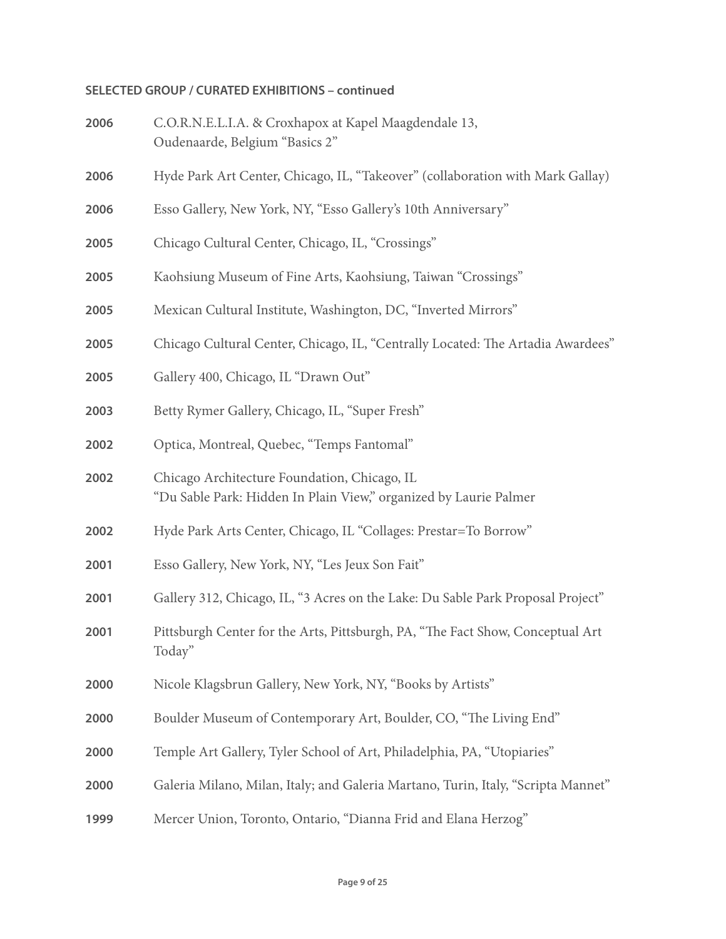| 2006 | C.O.R.N.E.L.I.A. & Croxhapox at Kapel Maagdendale 13,<br>Oudenaarde, Belgium "Basics 2"                           |
|------|-------------------------------------------------------------------------------------------------------------------|
| 2006 | Hyde Park Art Center, Chicago, IL, "Takeover" (collaboration with Mark Gallay)                                    |
| 2006 | Esso Gallery, New York, NY, "Esso Gallery's 10th Anniversary"                                                     |
| 2005 | Chicago Cultural Center, Chicago, IL, "Crossings"                                                                 |
| 2005 | Kaohsiung Museum of Fine Arts, Kaohsiung, Taiwan "Crossings"                                                      |
| 2005 | Mexican Cultural Institute, Washington, DC, "Inverted Mirrors"                                                    |
| 2005 | Chicago Cultural Center, Chicago, IL, "Centrally Located: The Artadia Awardees"                                   |
| 2005 | Gallery 400, Chicago, IL "Drawn Out"                                                                              |
| 2003 | Betty Rymer Gallery, Chicago, IL, "Super Fresh"                                                                   |
| 2002 | Optica, Montreal, Quebec, "Temps Fantomal"                                                                        |
| 2002 | Chicago Architecture Foundation, Chicago, IL<br>"Du Sable Park: Hidden In Plain View," organized by Laurie Palmer |
| 2002 | Hyde Park Arts Center, Chicago, IL "Collages: Prestar=To Borrow"                                                  |
| 2001 | Esso Gallery, New York, NY, "Les Jeux Son Fait"                                                                   |
| 2001 | Gallery 312, Chicago, IL, "3 Acres on the Lake: Du Sable Park Proposal Project"                                   |
| 2001 | Pittsburgh Center for the Arts, Pittsburgh, PA, "The Fact Show, Conceptual Art<br>Today"                          |
| 2000 | Nicole Klagsbrun Gallery, New York, NY, "Books by Artists"                                                        |
| 2000 | Boulder Museum of Contemporary Art, Boulder, CO, "The Living End"                                                 |
| 2000 | Temple Art Gallery, Tyler School of Art, Philadelphia, PA, "Utopiaries"                                           |
| 2000 | Galeria Milano, Milan, Italy; and Galeria Martano, Turin, Italy, "Scripta Mannet"                                 |
| 1999 | Mercer Union, Toronto, Ontario, "Dianna Frid and Elana Herzog"                                                    |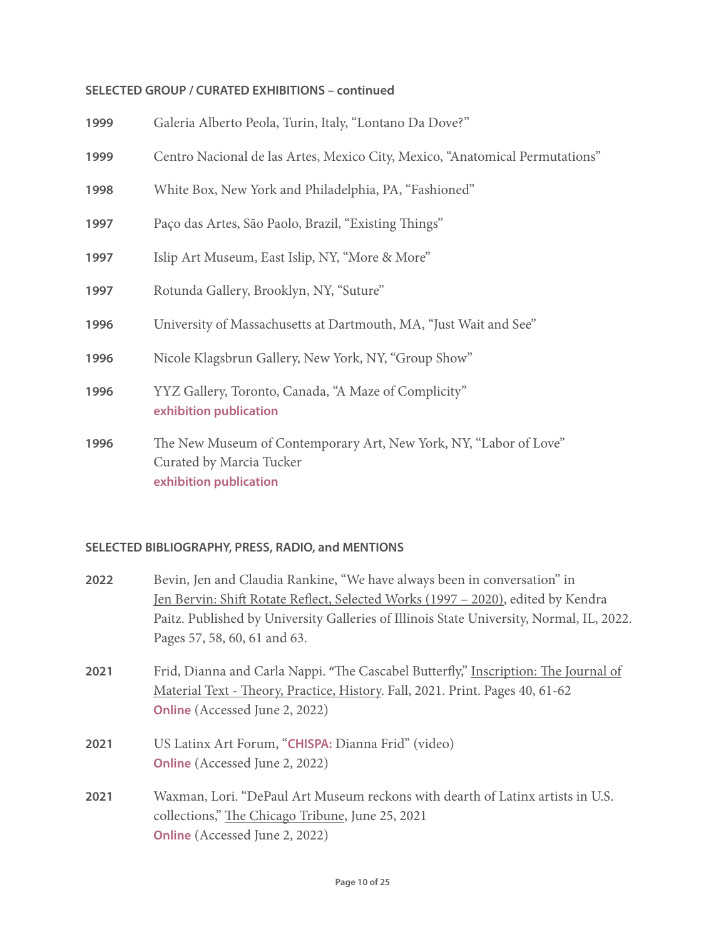| 1999 | Galeria Alberto Peola, Turin, Italy, "Lontano Da Dove?"                                       |
|------|-----------------------------------------------------------------------------------------------|
| 1999 | Centro Nacional de las Artes, Mexico City, Mexico, "Anatomical Permutations"                  |
| 1998 | White Box, New York and Philadelphia, PA, "Fashioned"                                         |
| 1997 | Paço das Artes, São Paolo, Brazil, "Existing Things"                                          |
| 1997 | Islip Art Museum, East Islip, NY, "More & More"                                               |
| 1997 | Rotunda Gallery, Brooklyn, NY, "Suture"                                                       |
| 1996 | University of Massachusetts at Dartmouth, MA, "Just Wait and See"                             |
| 1996 | Nicole Klagsbrun Gallery, New York, NY, "Group Show"                                          |
| 1996 | YYZ Gallery, Toronto, Canada, "A Maze of Complicity"<br>exhibition publication                |
| 1996 | The New Museum of Contemporary Art, New York, NY, "Labor of Love"<br>Curated by Marcia Tucker |

**[exhibition publication](https://img-cache.oppcdn.com/fixed/67034/assets/dbgTWqjskvYmMWiL.pdf)**

#### **SELECTED BIBLIOGRAPHY, PRESS, RADIO, and MENTIONS**

| 2022 | Bevin, Jen and Claudia Rankine, "We have always been in conversation" in<br>Jen Bervin: Shift Rotate Reflect, Selected Works (1997 – 2020), edited by Kendra<br>Paitz. Published by University Galleries of Illinois State University, Normal, IL, 2022.<br>Pages 57, 58, 60, 61 and 63. |
|------|------------------------------------------------------------------------------------------------------------------------------------------------------------------------------------------------------------------------------------------------------------------------------------------|
| 2021 | Frid, Dianna and Carla Nappi. "The Cascabel Butterfly," Inscription: The Journal of<br>Material Text - Theory, Practice, History. Fall, 2021. Print. Pages 40, 61-62<br><b>Online</b> (Accessed June 2, 2022)                                                                            |
| 2021 | US Latinx Art Forum, "CHISPA: Dianna Frid" (video)<br><b>Online</b> (Accessed June 2, 2022)                                                                                                                                                                                              |
| 2021 | Waxman, Lori. "DePaul Art Museum reckons with dearth of Latinx artists in U.S.<br>collections," The Chicago Tribune, June 25, 2021                                                                                                                                                       |

**[Online](https://www.chicagotribune.com/entertainment/museums/ct-ent-latinxamerican-dpam-20210625-x4gxoge4jjgihi7ej3huulfnzy-story.html)** (Accessed June 2, 2022)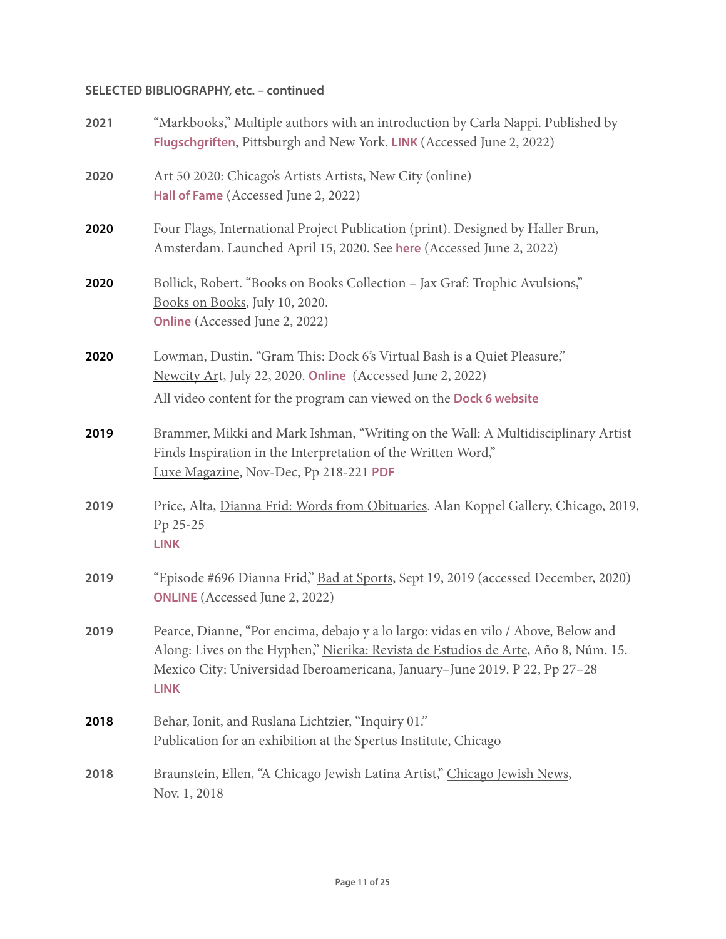| 2021 | "Markbooks," Multiple authors with an introduction by Carla Nappi. Published by<br>Flugschgriften, Pittsburgh and New York. LINK (Accessed June 2, 2022)                                                                                                              |
|------|-----------------------------------------------------------------------------------------------------------------------------------------------------------------------------------------------------------------------------------------------------------------------|
| 2020 | Art 50 2020: Chicago's Artists Artists, New City (online)<br>Hall of Fame (Accessed June 2, 2022)                                                                                                                                                                     |
| 2020 | Four Flags, International Project Publication (print). Designed by Haller Brun,<br>Amsterdam. Launched April 15, 2020. See here (Accessed June 2, 2022)                                                                                                               |
| 2020 | Bollick, Robert. "Books on Books Collection - Jax Graf: Trophic Avulsions,"<br>Books on Books, July 10, 2020.<br>Online (Accessed June 2, 2022)                                                                                                                       |
| 2020 | Lowman, Dustin. "Gram This: Dock 6's Virtual Bash is a Quiet Pleasure,"<br>Newcity Art, July 22, 2020. Online (Accessed June 2, 2022)<br>All video content for the program can viewed on the Dock 6 website                                                           |
| 2019 | Brammer, Mikki and Mark Ishman, "Writing on the Wall: A Multidisciplinary Artist<br>Finds Inspiration in the Interpretation of the Written Word,"<br>Luxe Magazine, Nov-Dec, Pp 218-221 PDF                                                                           |
| 2019 | Price, Alta, Dianna Frid: Words from Obituaries. Alan Koppel Gallery, Chicago, 2019,<br>Pp 25-25<br><b>LINK</b>                                                                                                                                                       |
| 2019 | "Episode #696 Dianna Frid," Bad at Sports, Sept 19, 2019 (accessed December, 2020)<br><b>ONLINE</b> (Accessed June 2, 2022)                                                                                                                                           |
| 2019 | Pearce, Dianne, "Por encima, debajo y a lo largo: vidas en vilo / Above, Below and<br>Along: Lives on the Hyphen," Nierika: Revista de Estudios de Arte, Año 8, Núm. 15.<br>Mexico City: Universidad Iberoamericana, January-June 2019. P 22, Pp 27-28<br><b>LINK</b> |
| 2018 | Behar, Ionit, and Ruslana Lichtzier, "Inquiry 01."<br>Publication for an exhibition at the Spertus Institute, Chicago                                                                                                                                                 |
| 2018 | Braunstein, Ellen, "A Chicago Jewish Latina Artist," Chicago Jewish News,<br>Nov. 1, 2018                                                                                                                                                                             |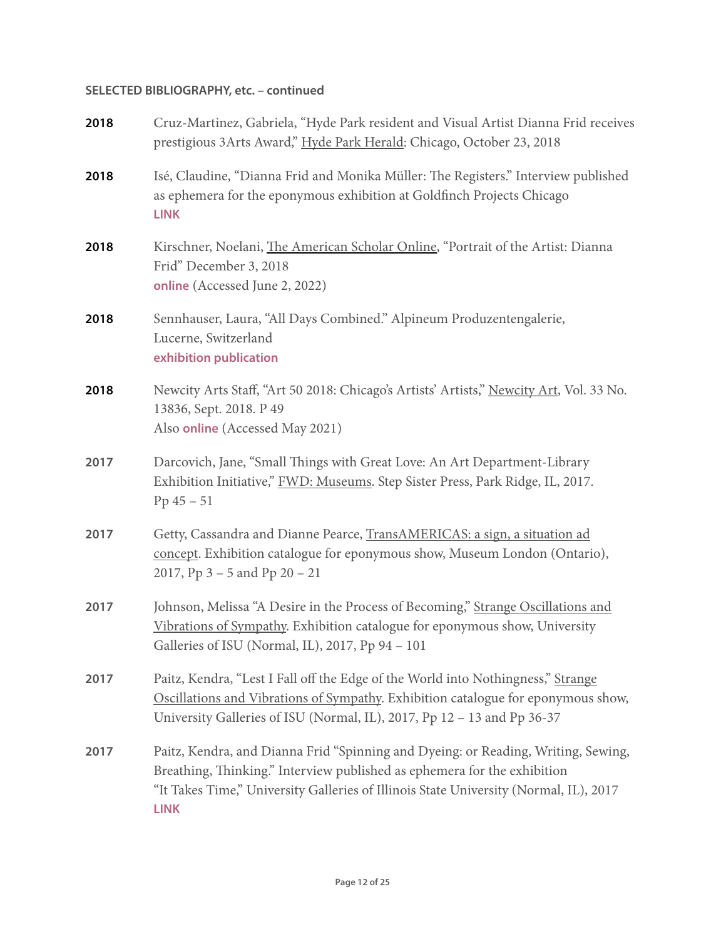| 2018 | Cruz-Martinez, Gabriela, "Hyde Park resident and Visual Artist Dianna Frid receives<br>prestigious 3Arts Award," Hyde Park Herald: Chicago, October 23, 2018                                                                                                          |
|------|-----------------------------------------------------------------------------------------------------------------------------------------------------------------------------------------------------------------------------------------------------------------------|
| 2018 | Isé, Claudine, "Dianna Frid and Monika Müller: The Registers." Interview published<br>as ephemera for the eponymous exhibition at Goldfinch Projects Chicago<br><b>LINK</b>                                                                                           |
| 2018 | Kirschner, Noelani, The American Scholar Online, "Portrait of the Artist: Dianna<br>Frid" December 3, 2018<br>online (Accessed June 2, 2022)                                                                                                                          |
| 2018 | Sennhauser, Laura, "All Days Combined." Alpineum Produzentengalerie,<br>Lucerne, Switzerland<br>exhibition publication                                                                                                                                                |
| 2018 | Newcity Arts Staff, "Art 50 2018: Chicago's Artists' Artists," Newcity Art, Vol. 33 No.<br>13836, Sept. 2018. P 49<br>Also online (Accessed May 2021)                                                                                                                 |
| 2017 | Darcovich, Jane, "Small Things with Great Love: An Art Department-Library<br>Exhibition Initiative," FWD: Museums. Step Sister Press, Park Ridge, IL, 2017.<br>$Pp 45 - 51$                                                                                           |
| 2017 | Getty, Cassandra and Dianne Pearce, TransAMERICAS: a sign, a situation ad<br>concept. Exhibition catalogue for eponymous show, Museum London (Ontario),<br>2017, Pp $3 - 5$ and Pp $20 - 21$                                                                          |
| 2017 | Johnson, Melissa "A Desire in the Process of Becoming," Strange Oscillations and<br>Vibrations of Sympathy. Exhibition catalogue for eponymous show, University<br>Galleries of ISU (Normal, IL), 2017, Pp 94 - 101                                                   |
| 2017 | Paitz, Kendra, "Lest I Fall off the Edge of the World into Nothingness," Strange<br>Oscillations and Vibrations of Sympathy. Exhibition catalogue for eponymous show,<br>University Galleries of ISU (Normal, IL), 2017, Pp 12 - 13 and Pp 36-37                      |
| 2017 | Paitz, Kendra, and Dianna Frid "Spinning and Dyeing: or Reading, Writing, Sewing,<br>Breathing, Thinking." Interview published as ephemera for the exhibition<br>"It Takes Time," University Galleries of Illinois State University (Normal, IL), 2017<br><b>LINK</b> |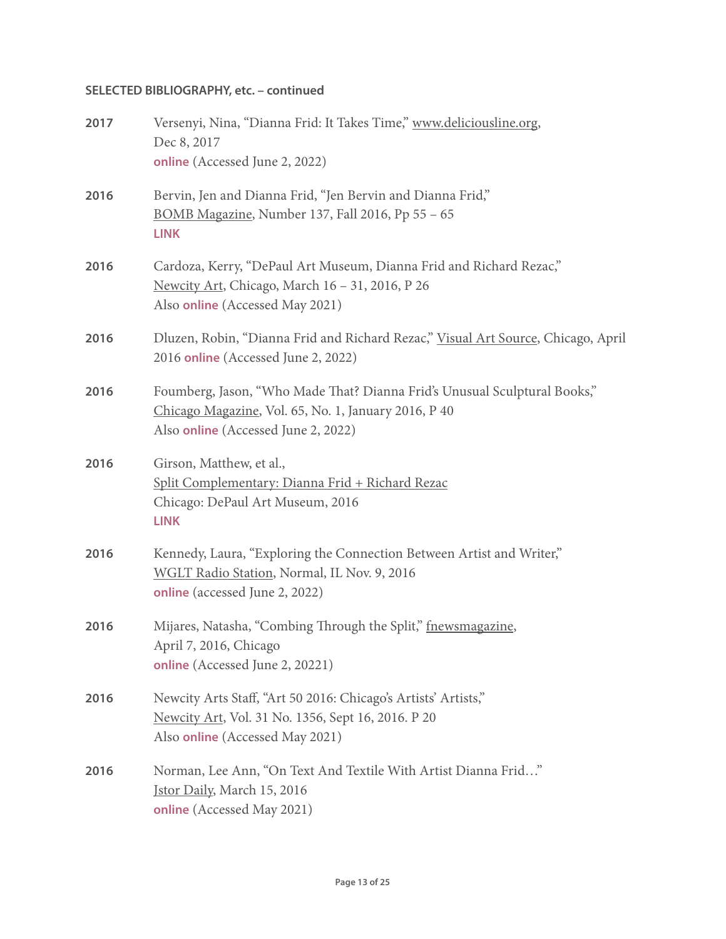| 2017 | Versenyi, Nina, "Dianna Frid: It Takes Time," www.deliciousline.org,<br>Dec 8, 2017<br>online (Accessed June 2, 2022)                                                    |
|------|--------------------------------------------------------------------------------------------------------------------------------------------------------------------------|
| 2016 | Bervin, Jen and Dianna Frid, "Jen Bervin and Dianna Frid,"<br>BOMB Magazine, Number 137, Fall 2016, Pp 55 - 65<br><b>LINK</b>                                            |
| 2016 | Cardoza, Kerry, "DePaul Art Museum, Dianna Frid and Richard Rezac,"<br>Newcity Art, Chicago, March 16 - 31, 2016, P 26<br>Also online (Accessed May 2021)                |
| 2016 | Dluzen, Robin, "Dianna Frid and Richard Rezac," Visual Art Source, Chicago, April<br>2016 online (Accessed June 2, 2022)                                                 |
| 2016 | Foumberg, Jason, "Who Made That? Dianna Frid's Unusual Sculptural Books,"<br>Chicago Magazine, Vol. 65, No. 1, January 2016, P 40<br>Also online (Accessed June 2, 2022) |
| 2016 | Girson, Matthew, et al.,<br><u> Split Complementary: Dianna Frid + Richard Rezac</u><br>Chicago: DePaul Art Museum, 2016<br><b>LINK</b>                                  |
| 2016 | Kennedy, Laura, "Exploring the Connection Between Artist and Writer,"<br>WGLT Radio Station, Normal, IL Nov. 9, 2016<br><b>online</b> (accessed June 2, 2022)            |
| 2016 | Mijares, Natasha, "Combing Through the Split," fnewsmagazine,<br>April 7, 2016, Chicago<br>online (Accessed June 2, 20221)                                               |
| 2016 | Newcity Arts Staff, "Art 50 2016: Chicago's Artists' Artists,"<br>Newcity Art, Vol. 31 No. 1356, Sept 16, 2016. P 20<br>Also online (Accessed May 2021)                  |
| 2016 | Norman, Lee Ann, "On Text And Textile With Artist Dianna Frid"<br>Jstor Daily, March 15, 2016<br>online (Accessed May 2021)                                              |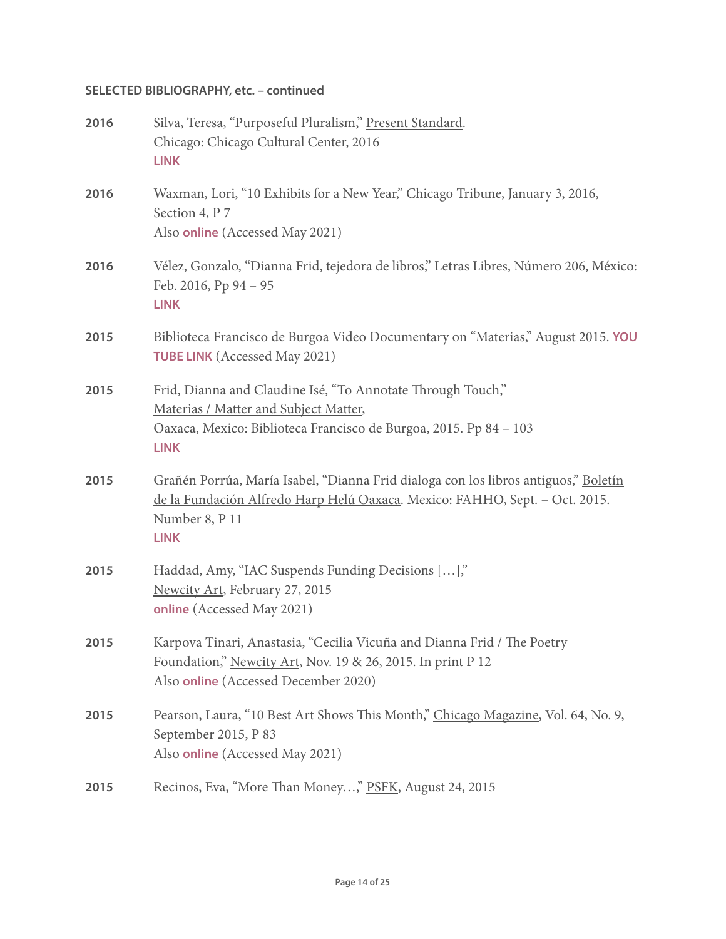| 2016 | Silva, Teresa, "Purposeful Pluralism," Present Standard.<br>Chicago: Chicago Cultural Center, 2016<br><b>LINK</b>                                                                                   |
|------|-----------------------------------------------------------------------------------------------------------------------------------------------------------------------------------------------------|
| 2016 | Waxman, Lori, "10 Exhibits for a New Year," Chicago Tribune, January 3, 2016,<br>Section 4, P 7<br>Also online (Accessed May 2021)                                                                  |
| 2016 | Vélez, Gonzalo, "Dianna Frid, tejedora de libros," Letras Libres, Número 206, México:<br>Feb. 2016, Pp 94 - 95<br><b>LINK</b>                                                                       |
| 2015 | Biblioteca Francisco de Burgoa Video Documentary on "Materias," August 2015. YOU<br><b>TUBE LINK</b> (Accessed May 2021)                                                                            |
| 2015 | Frid, Dianna and Claudine Isé, "To Annotate Through Touch,"<br>Materias / Matter and Subject Matter,<br>Oaxaca, Mexico: Biblioteca Francisco de Burgoa, 2015. Pp 84 - 103<br><b>LINK</b>            |
| 2015 | Grañén Porrúa, María Isabel, "Dianna Frid dialoga con los libros antiguos," Boletín<br>de la Fundación Alfredo Harp Helú Oaxaca. Mexico: FAHHO, Sept. - Oct. 2015.<br>Number 8, P 11<br><b>LINK</b> |
| 2015 | Haddad, Amy, "IAC Suspends Funding Decisions [],"<br>Newcity Art, February 27, 2015<br>online (Accessed May 2021)                                                                                   |
| 2015 | Karpova Tinari, Anastasia, "Cecilia Vicuña and Dianna Frid / The Poetry<br>Foundation," Newcity Art, Nov. 19 & 26, 2015. In print P 12<br>Also online (Accessed December 2020)                      |
| 2015 | Pearson, Laura, "10 Best Art Shows This Month," Chicago Magazine, Vol. 64, No. 9,<br>September 2015, P 83<br>Also online (Accessed May 2021)                                                        |
| 2015 | Recinos, Eva, "More Than Money," PSFK, August 24, 2015                                                                                                                                              |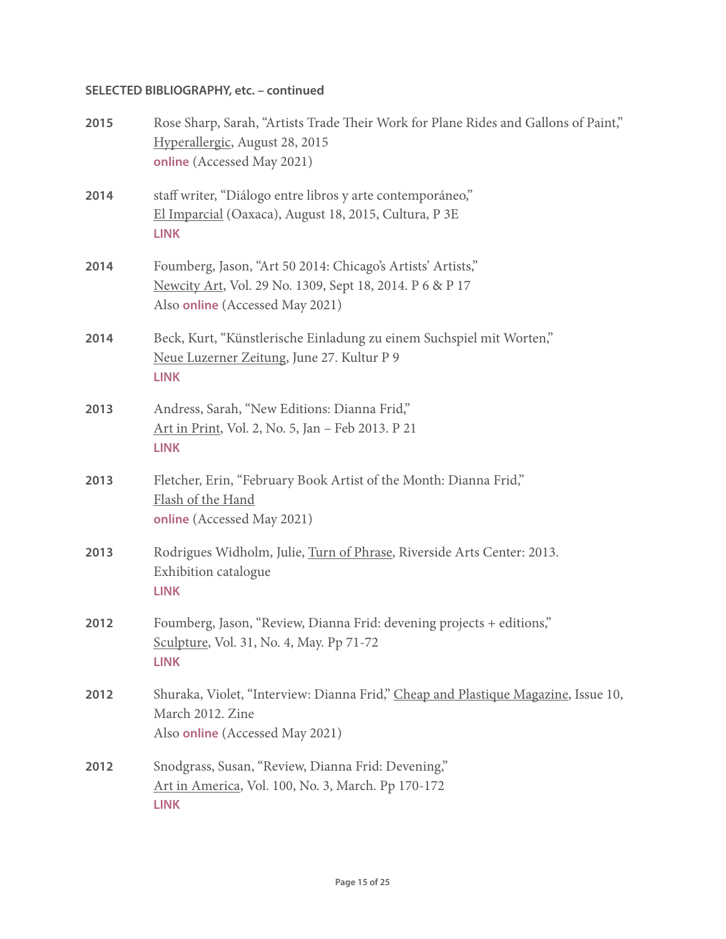| 2015 | Rose Sharp, Sarah, "Artists Trade Their Work for Plane Rides and Gallons of Paint,"<br>Hyperallergic, August 28, 2015<br>online (Accessed May 2021)        |
|------|------------------------------------------------------------------------------------------------------------------------------------------------------------|
| 2014 | staff writer, "Diálogo entre libros y arte contemporáneo,"<br>El Imparcial (Oaxaca), August 18, 2015, Cultura, P 3E<br><b>LINK</b>                         |
| 2014 | Foumberg, Jason, "Art 50 2014: Chicago's Artists' Artists,"<br>Newcity Art, Vol. 29 No. 1309, Sept 18, 2014. P 6 & P 17<br>Also online (Accessed May 2021) |
| 2014 | Beck, Kurt, "Künstlerische Einladung zu einem Suchspiel mit Worten,"<br>Neue Luzerner Zeitung, June 27. Kultur P 9<br><b>LINK</b>                          |
| 2013 | Andress, Sarah, "New Editions: Dianna Frid,"<br>Art in Print, Vol. 2, No. 5, Jan - Feb 2013. P 21<br><b>LINK</b>                                           |
| 2013 | Fletcher, Erin, "February Book Artist of the Month: Dianna Frid,"<br>Flash of the Hand<br>online (Accessed May 2021)                                       |
| 2013 | Rodrigues Widholm, Julie, Turn of Phrase, Riverside Arts Center: 2013.<br>Exhibition catalogue<br><b>LINK</b>                                              |
| 2012 | Foumberg, Jason, "Review, Dianna Frid: devening projects + editions,"<br>Sculpture, Vol. 31, No. 4, May. Pp 71-72<br><b>LINK</b>                           |
| 2012 | Shuraka, Violet, "Interview: Dianna Frid," Cheap and Plastique Magazine, Issue 10,<br>March 2012. Zine<br>Also online (Accessed May 2021)                  |
| 2012 | Snodgrass, Susan, "Review, Dianna Frid: Devening,"<br>Art in America, Vol. 100, No. 3, March. Pp 170-172<br><b>LINK</b>                                    |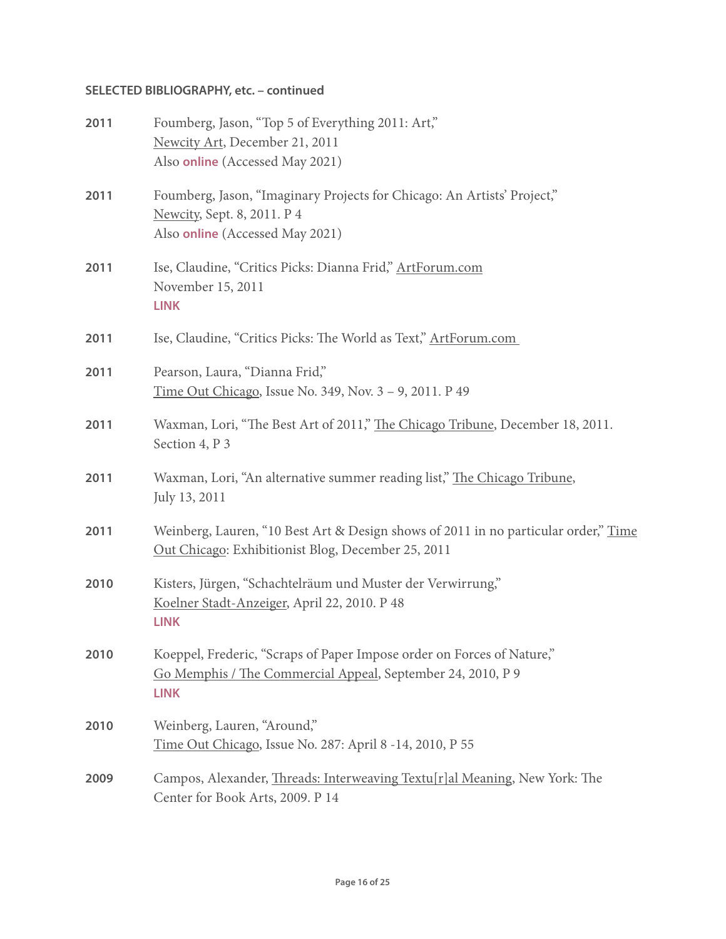| 2011 | Foumberg, Jason, "Top 5 of Everything 2011: Art,"<br>Newcity Art, December 21, 2011<br>Also online (Accessed May 2021)                               |
|------|------------------------------------------------------------------------------------------------------------------------------------------------------|
| 2011 | Foumberg, Jason, "Imaginary Projects for Chicago: An Artists' Project,"<br>Newcity, Sept. 8, 2011. P 4<br>Also online (Accessed May 2021)            |
| 2011 | Ise, Claudine, "Critics Picks: Dianna Frid," ArtForum.com<br>November 15, 2011<br><b>LINK</b>                                                        |
| 2011 | Ise, Claudine, "Critics Picks: The World as Text," ArtForum.com                                                                                      |
| 2011 | Pearson, Laura, "Dianna Frid,"<br>Time Out Chicago, Issue No. 349, Nov. 3 - 9, 2011. P 49                                                            |
| 2011 | Waxman, Lori, "The Best Art of 2011," The Chicago Tribune, December 18, 2011.<br>Section 4, P 3                                                      |
| 2011 | Waxman, Lori, "An alternative summer reading list," The Chicago Tribune,<br>July 13, 2011                                                            |
| 2011 | Weinberg, Lauren, "10 Best Art & Design shows of 2011 in no particular order," Time<br>Out Chicago: Exhibitionist Blog, December 25, 2011            |
| 2010 | Kisters, Jürgen, "Schachtelräum und Muster der Verwirrung,"<br>Koelner Stadt-Anzeiger, April 22, 2010. P 48<br><b>LINK</b>                           |
| 2010 | Koeppel, Frederic, "Scraps of Paper Impose order on Forces of Nature,"<br>Go Memphis / The Commercial Appeal, September 24, 2010, P 9<br><b>LINK</b> |
| 2010 | Weinberg, Lauren, "Around,"<br>Time Out Chicago, Issue No. 287: April 8 -14, 2010, P 55                                                              |
| 2009 | Campos, Alexander, <i>Threads: Interweaving Textu[r]al Meaning</i> , New York: The<br>Center for Book Arts, 2009. P 14                               |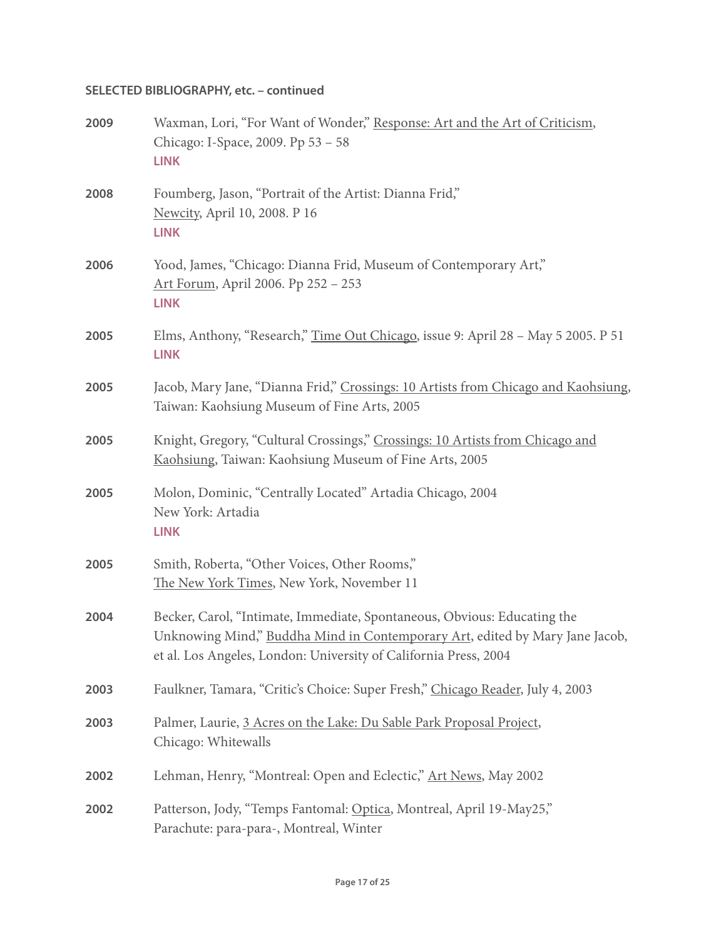| 2009 | Waxman, Lori, "For Want of Wonder," Response: Art and the Art of Criticism,<br>Chicago: I-Space, 2009. Pp 53 - 58<br><b>LINK</b>                                                                                             |
|------|------------------------------------------------------------------------------------------------------------------------------------------------------------------------------------------------------------------------------|
| 2008 | Foumberg, Jason, "Portrait of the Artist: Dianna Frid,"<br>Newcity, April 10, 2008. P 16<br><b>LINK</b>                                                                                                                      |
| 2006 | Yood, James, "Chicago: Dianna Frid, Museum of Contemporary Art,"<br>Art Forum, April 2006. Pp 252 - 253<br><b>LINK</b>                                                                                                       |
| 2005 | Elms, Anthony, "Research," Time Out Chicago, issue 9: April 28 - May 5 2005. P 51<br><b>LINK</b>                                                                                                                             |
| 2005 | Jacob, Mary Jane, "Dianna Frid," Crossings: 10 Artists from Chicago and Kaohsiung,<br>Taiwan: Kaohsiung Museum of Fine Arts, 2005                                                                                            |
| 2005 | Knight, Gregory, "Cultural Crossings," Crossings: 10 Artists from Chicago and<br>Kaohsiung, Taiwan: Kaohsiung Museum of Fine Arts, 2005                                                                                      |
| 2005 | Molon, Dominic, "Centrally Located" Artadia Chicago, 2004<br>New York: Artadia<br><b>LINK</b>                                                                                                                                |
| 2005 | Smith, Roberta, "Other Voices, Other Rooms,"<br>The New York Times, New York, November 11                                                                                                                                    |
| 2004 | Becker, Carol, "Intimate, Immediate, Spontaneous, Obvious: Educating the<br>Unknowing Mind," Buddha Mind in Contemporary Art, edited by Mary Jane Jacob,<br>et al. Los Angeles, London: University of California Press, 2004 |
| 2003 | Faulkner, Tamara, "Critic's Choice: Super Fresh," Chicago Reader, July 4, 2003                                                                                                                                               |
| 2003 | Palmer, Laurie, 3 Acres on the Lake: Du Sable Park Proposal Project,<br>Chicago: Whitewalls                                                                                                                                  |
| 2002 | Lehman, Henry, "Montreal: Open and Eclectic," Art News, May 2002                                                                                                                                                             |
| 2002 | Patterson, Jody, "Temps Fantomal: Optica, Montreal, April 19-May25,"<br>Parachute: para-para-, Montreal, Winter                                                                                                              |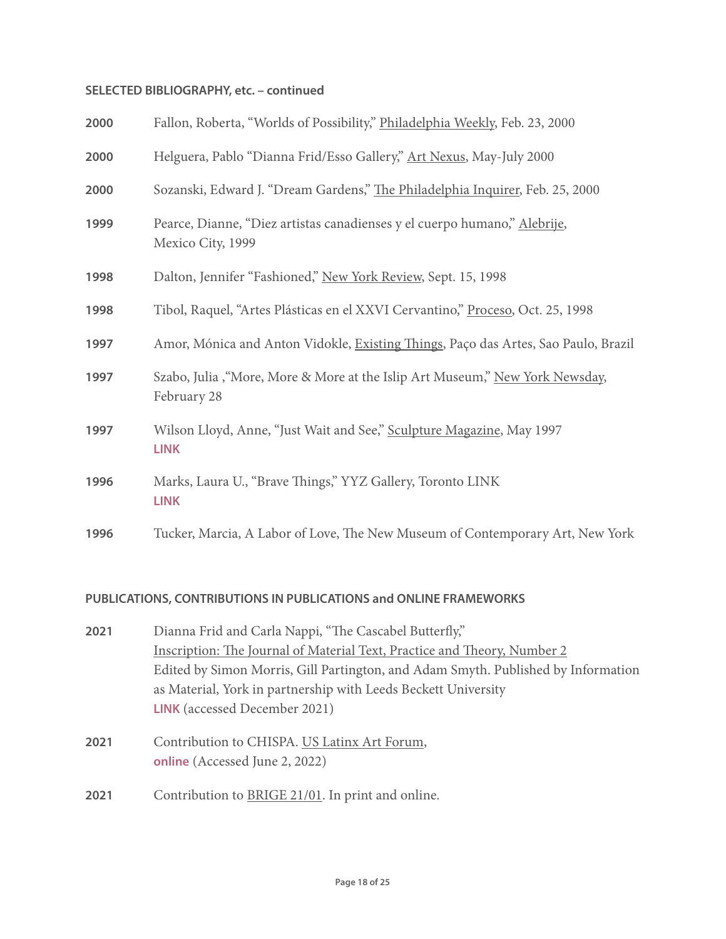| 2000 | Fallon, Roberta, "Worlds of Possibility," Philadelphia Weekly, Feb. 23, 2000                   |
|------|------------------------------------------------------------------------------------------------|
| 2000 | Helguera, Pablo "Dianna Frid/Esso Gallery," Art Nexus, May-July 2000                           |
| 2000 | Sozanski, Edward J. "Dream Gardens," The Philadelphia Inquirer, Feb. 25, 2000                  |
| 1999 | Pearce, Dianne, "Diez artistas canadienses y el cuerpo humano," Alebrije,<br>Mexico City, 1999 |
| 1998 | Dalton, Jennifer "Fashioned," New York Review, Sept. 15, 1998                                  |
| 1998 | Tibol, Raquel, "Artes Plásticas en el XXVI Cervantino," Proceso, Oct. 25, 1998                 |
| 1997 | Amor, Mónica and Anton Vidokle, Existing Things, Paço das Artes, Sao Paulo, Brazil             |
| 1997 | Szabo, Julia, "More, More & More at the Islip Art Museum," New York Newsday,<br>February 28    |
| 1997 | Wilson Lloyd, Anne, "Just Wait and See," Sculpture Magazine, May 1997<br><b>LINK</b>           |
| 1996 | Marks, Laura U., "Brave Things," YYZ Gallery, Toronto LINK<br><b>LINK</b>                      |
| 1996 | Tucker, Marcia, A Labor of Love, The New Museum of Contemporary Art, New York                  |

#### **PUBLICATIONS, CONTRIBUTIONS IN PUBLICATIONS and ONLINE FRAMEWORKS**

- **2021** Dianna Frid and Carla Nappi, "The Cascabel Butterfly," Inscription: The Journal of Material Text, Practice and Theory, Number 2 Edited by Simon Morris, Gill Partington, and Adam Smyth. Published by Information as Material, York in partnership with Leeds Beckett University **[LINK](https://inscriptionjournal.com/2021/10/19/wormholes-the-cascabel-butterfly-and-an-ar-collaboration/)** (accessed December 2021)
- 2021 Contribution to CHISPA. US Latinx Art Forum, **[online](https://vimeo.com/564427392)** (Accessed June 2, 2022)
- **2021** Contribution to BRIGE 21/01. In print and online.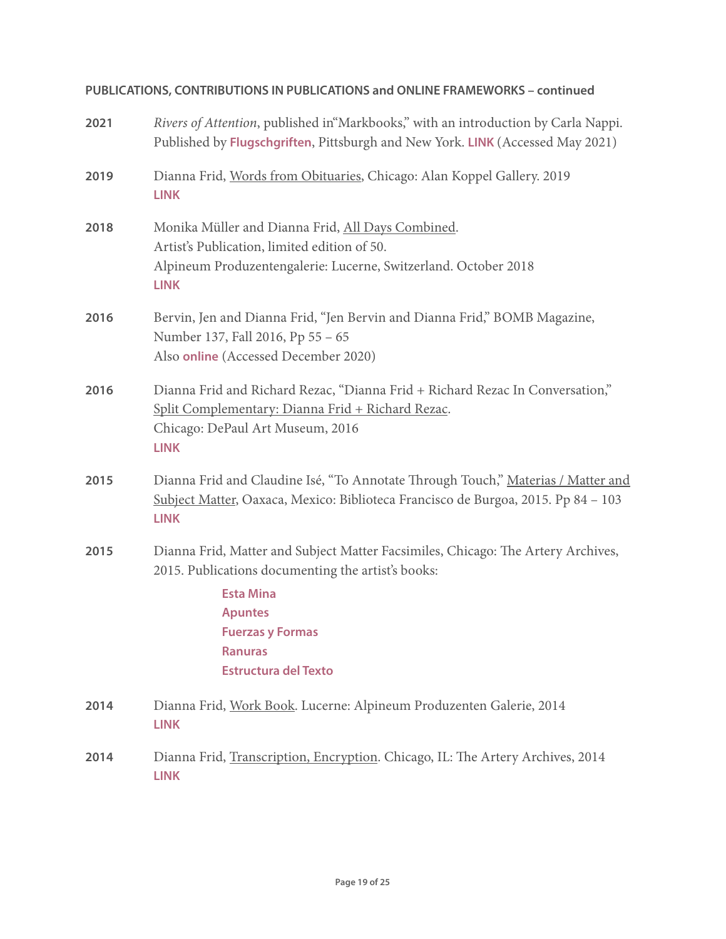| 2021 | Rivers of Attention, published in "Markbooks," with an introduction by Carla Nappi.<br>Published by Flugschgriften, Pittsburgh and New York. LINK (Accessed May 2021)                                                                                    |
|------|----------------------------------------------------------------------------------------------------------------------------------------------------------------------------------------------------------------------------------------------------------|
| 2019 | Dianna Frid, Words from Obituaries, Chicago: Alan Koppel Gallery. 2019<br><b>LINK</b>                                                                                                                                                                    |
| 2018 | Monika Müller and Dianna Frid, All Days Combined.<br>Artist's Publication, limited edition of 50.<br>Alpineum Produzentengalerie: Lucerne, Switzerland. October 2018<br><b>LINK</b>                                                                      |
| 2016 | Bervin, Jen and Dianna Frid, "Jen Bervin and Dianna Frid," BOMB Magazine,<br>Number 137, Fall 2016, Pp 55 - 65<br>Also online (Accessed December 2020)                                                                                                   |
| 2016 | Dianna Frid and Richard Rezac, "Dianna Frid + Richard Rezac In Conversation,"<br>Split Complementary: Dianna Frid + Richard Rezac.<br>Chicago: DePaul Art Museum, 2016<br><b>LINK</b>                                                                    |
| 2015 | Dianna Frid and Claudine Isé, "To Annotate Through Touch," Materias / Matter and<br>Subject Matter, Oaxaca, Mexico: Biblioteca Francisco de Burgoa, 2015. Pp 84 - 103<br><b>LINK</b>                                                                     |
| 2015 | Dianna Frid, Matter and Subject Matter Facsimiles, Chicago: The Artery Archives,<br>2015. Publications documenting the artist's books:<br><b>Esta Mina</b><br><b>Apuntes</b><br><b>Fuerzas y Formas</b><br><b>Ranuras</b><br><b>Estructura del Texto</b> |
| 2014 | Dianna Frid, Work Book. Lucerne: Alpineum Produzenten Galerie, 2014<br><b>LINK</b>                                                                                                                                                                       |
| 2014 | Dianna Frid, Transcription, Encryption. Chicago, IL: The Artery Archives, 2014<br><b>LINK</b>                                                                                                                                                            |

# **PUBLICATIONS, CONTRIBUTIONS IN PUBLICATIONS and ONLINE FRAMEWORKS – continued**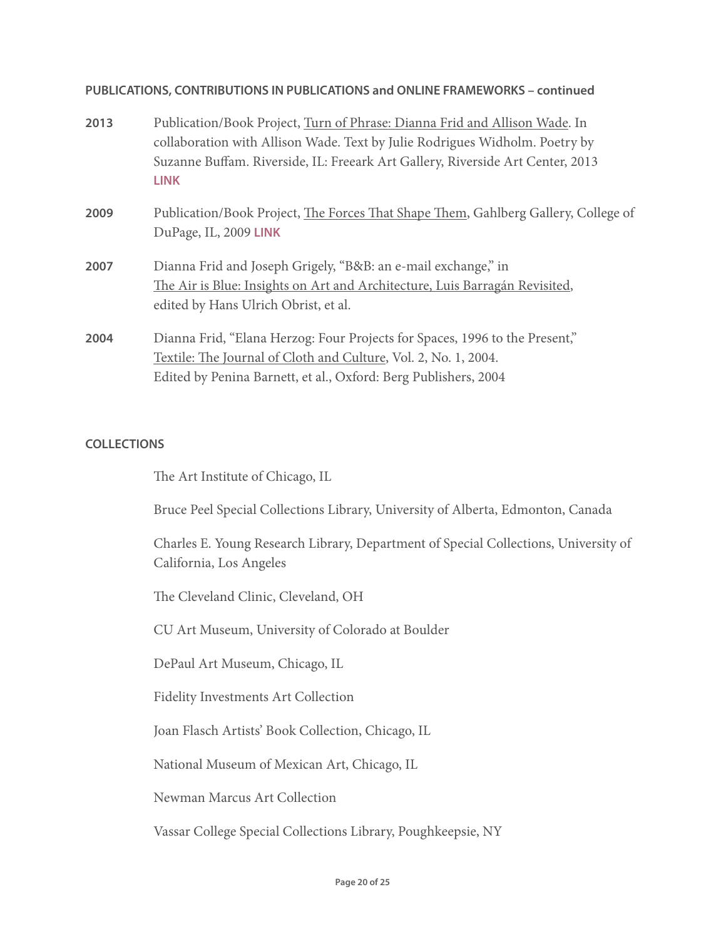#### **PUBLICATIONS, CONTRIBUTIONS IN PUBLICATIONS and ONLINE FRAMEWORKS – continued**

| 2013 | Publication/Book Project, Turn of Phrase: Dianna Frid and Allison Wade. In                                  |
|------|-------------------------------------------------------------------------------------------------------------|
|      | collaboration with Allison Wade. Text by Julie Rodrigues Widholm. Poetry by                                 |
|      | Suzanne Buffam. Riverside, IL: Freeark Art Gallery, Riverside Art Center, 2013                              |
|      | <b>LINK</b>                                                                                                 |
| 2009 | Publication/Book Project, The Forces That Shape Them, Gahlberg Gallery, College of<br>DuPage, IL, 2009 LINK |
| 2007 | Dianna Frid and Joseph Grigely, "B&B: an e-mail exchange," in                                               |
|      | The Air is Blue: Insights on Art and Architecture, Luis Barragán Revisited,                                 |
|      | edited by Hans Ulrich Obrist, et al.                                                                        |
| 2004 | Dianna Frid, "Elana Herzog: Four Projects for Spaces, 1996 to the Present,"                                 |
|      | Textile: The Journal of Cloth and Culture, Vol. 2, No. 1, 2004.                                             |
|      | Edited by Penina Barnett, et al., Oxford: Berg Publishers, 2004                                             |

# **COLLECTIONS**

The Art Institute of Chicago, IL

Bruce Peel Special Collections Library, University of Alberta, Edmonton, Canada

Charles E. Young Research Library, Department of Special Collections, University of California, Los Angeles

The Cleveland Clinic, Cleveland, OH

CU Art Museum, University of Colorado at Boulder

DePaul Art Museum, Chicago, IL

Fidelity Investments Art Collection

Joan Flasch Artists' Book Collection, Chicago, IL

National Museum of Mexican Art, Chicago, IL

Newman Marcus Art Collection

Vassar College Special Collections Library, Poughkeepsie, NY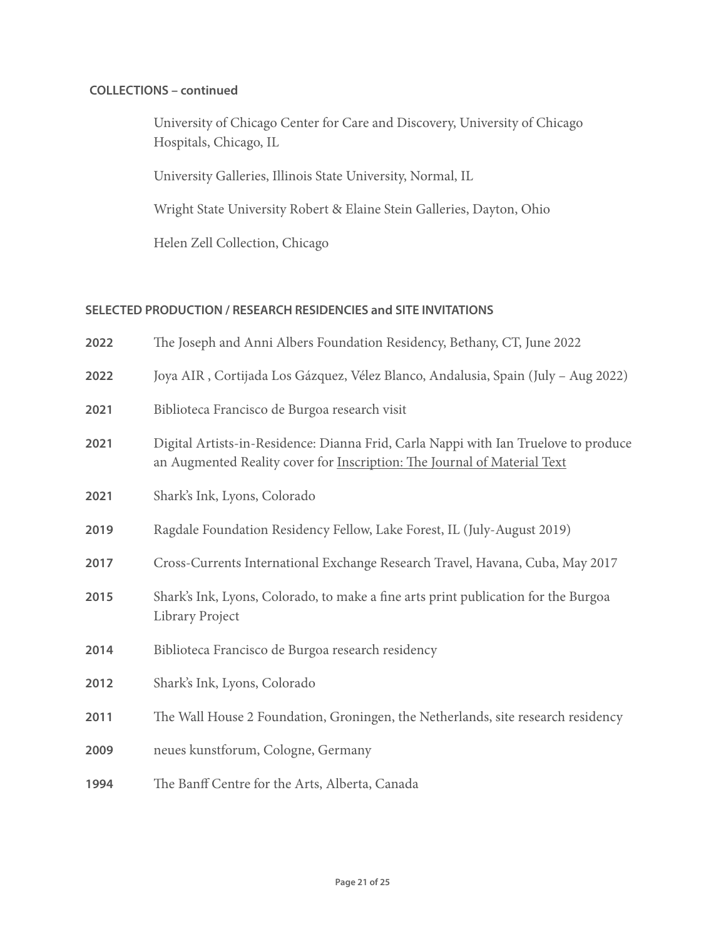## **COLLECTIONS – continued**

University of Chicago Center for Care and Discovery, University of Chicago Hospitals, Chicago, IL

University Galleries, Illinois State University, Normal, IL

Wright State University Robert & Elaine Stein Galleries, Dayton, Ohio

Helen Zell Collection, Chicago

#### **SELECTED PRODUCTION / RESEARCH RESIDENCIES and SITE INVITATIONS**

| 2022 | The Joseph and Anni Albers Foundation Residency, Bethany, CT, June 2022                                                                                         |
|------|-----------------------------------------------------------------------------------------------------------------------------------------------------------------|
| 2022 | Joya AIR, Cortijada Los Gázquez, Vélez Blanco, Andalusia, Spain (July - Aug 2022)                                                                               |
| 2021 | Biblioteca Francisco de Burgoa research visit                                                                                                                   |
| 2021 | Digital Artists-in-Residence: Dianna Frid, Carla Nappi with Ian Truelove to produce<br>an Augmented Reality cover for Inscription: The Journal of Material Text |
| 2021 | Shark's Ink, Lyons, Colorado                                                                                                                                    |
| 2019 | Ragdale Foundation Residency Fellow, Lake Forest, IL (July-August 2019)                                                                                         |
| 2017 | Cross-Currents International Exchange Research Travel, Havana, Cuba, May 2017                                                                                   |
| 2015 | Shark's Ink, Lyons, Colorado, to make a fine arts print publication for the Burgoa<br>Library Project                                                           |
| 2014 | Biblioteca Francisco de Burgoa research residency                                                                                                               |
| 2012 | Shark's Ink, Lyons, Colorado                                                                                                                                    |
| 2011 | The Wall House 2 Foundation, Groningen, the Netherlands, site research residency                                                                                |
| 2009 | neues kunstforum, Cologne, Germany                                                                                                                              |
| 1994 | The Banff Centre for the Arts, Alberta, Canada                                                                                                                  |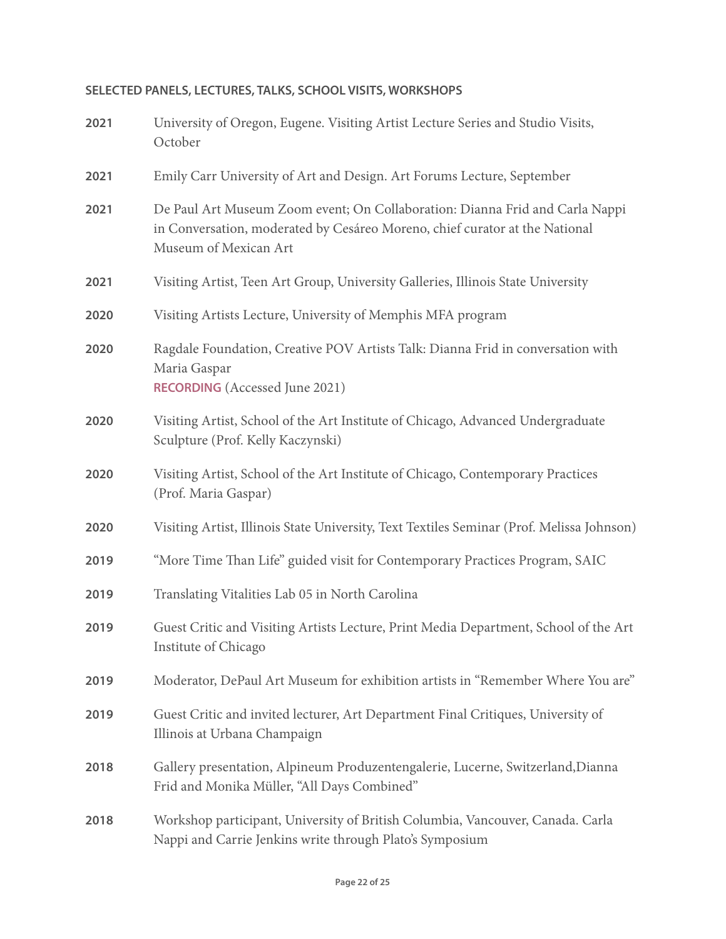# **SELECTED PANELS, LECTURES, TALKS, SCHOOL VISITS, WORKSHOPS**

| 2021 | University of Oregon, Eugene. Visiting Artist Lecture Series and Studio Visits,<br>October                                                                                           |  |  |  |  |
|------|--------------------------------------------------------------------------------------------------------------------------------------------------------------------------------------|--|--|--|--|
| 2021 | Emily Carr University of Art and Design. Art Forums Lecture, September                                                                                                               |  |  |  |  |
| 2021 | De Paul Art Museum Zoom event; On Collaboration: Dianna Frid and Carla Nappi<br>in Conversation, moderated by Cesáreo Moreno, chief curator at the National<br>Museum of Mexican Art |  |  |  |  |
| 2021 | Visiting Artist, Teen Art Group, University Galleries, Illinois State University                                                                                                     |  |  |  |  |
| 2020 | Visiting Artists Lecture, University of Memphis MFA program                                                                                                                          |  |  |  |  |
| 2020 | Ragdale Foundation, Creative POV Artists Talk: Dianna Frid in conversation with<br>Maria Gaspar<br><b>RECORDING</b> (Accessed June 2021)                                             |  |  |  |  |
| 2020 | Visiting Artist, School of the Art Institute of Chicago, Advanced Undergraduate<br>Sculpture (Prof. Kelly Kaczynski)                                                                 |  |  |  |  |
| 2020 | Visiting Artist, School of the Art Institute of Chicago, Contemporary Practices<br>(Prof. Maria Gaspar)                                                                              |  |  |  |  |
| 2020 | Visiting Artist, Illinois State University, Text Textiles Seminar (Prof. Melissa Johnson)                                                                                            |  |  |  |  |
| 2019 | "More Time Than Life" guided visit for Contemporary Practices Program, SAIC                                                                                                          |  |  |  |  |
| 2019 | Translating Vitalities Lab 05 in North Carolina                                                                                                                                      |  |  |  |  |
| 2019 | Guest Critic and Visiting Artists Lecture, Print Media Department, School of the Art<br>Institute of Chicago                                                                         |  |  |  |  |
| 2019 | Moderator, DePaul Art Museum for exhibition artists in "Remember Where You are"                                                                                                      |  |  |  |  |
| 2019 | Guest Critic and invited lecturer, Art Department Final Critiques, University of<br>Illinois at Urbana Champaign                                                                     |  |  |  |  |
| 2018 | Gallery presentation, Alpineum Produzentengalerie, Lucerne, Switzerland, Dianna<br>Frid and Monika Müller, "All Days Combined"                                                       |  |  |  |  |
| 2018 | Workshop participant, University of British Columbia, Vancouver, Canada. Carla<br>Nappi and Carrie Jenkins write through Plato's Symposium                                           |  |  |  |  |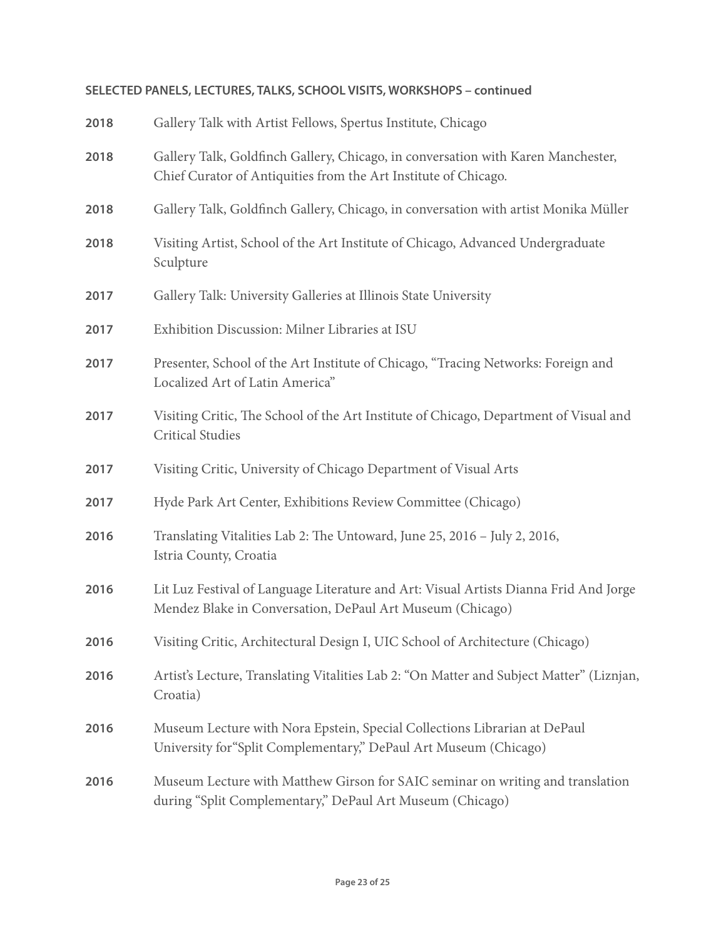# **SELECTED PANELS, LECTURES, TALKS, SCHOOL VISITS, WORKSHOPS – continued**

| 2018 | Gallery Talk with Artist Fellows, Spertus Institute, Chicago                                                                                        |  |  |  |  |
|------|-----------------------------------------------------------------------------------------------------------------------------------------------------|--|--|--|--|
| 2018 | Gallery Talk, Goldfinch Gallery, Chicago, in conversation with Karen Manchester,<br>Chief Curator of Antiquities from the Art Institute of Chicago. |  |  |  |  |
| 2018 | Gallery Talk, Goldfinch Gallery, Chicago, in conversation with artist Monika Müller                                                                 |  |  |  |  |
| 2018 | Visiting Artist, School of the Art Institute of Chicago, Advanced Undergraduate<br>Sculpture                                                        |  |  |  |  |
| 2017 | Gallery Talk: University Galleries at Illinois State University                                                                                     |  |  |  |  |
| 2017 | Exhibition Discussion: Milner Libraries at ISU                                                                                                      |  |  |  |  |
| 2017 | Presenter, School of the Art Institute of Chicago, "Tracing Networks: Foreign and<br>Localized Art of Latin America"                                |  |  |  |  |
| 2017 | Visiting Critic, The School of the Art Institute of Chicago, Department of Visual and<br><b>Critical Studies</b>                                    |  |  |  |  |
| 2017 | Visiting Critic, University of Chicago Department of Visual Arts                                                                                    |  |  |  |  |
| 2017 | Hyde Park Art Center, Exhibitions Review Committee (Chicago)                                                                                        |  |  |  |  |
| 2016 | Translating Vitalities Lab 2: The Untoward, June 25, 2016 - July 2, 2016,<br>Istria County, Croatia                                                 |  |  |  |  |
| 2016 | Lit Luz Festival of Language Literature and Art: Visual Artists Dianna Frid And Jorge<br>Mendez Blake in Conversation, DePaul Art Museum (Chicago)  |  |  |  |  |
| 2016 | Visiting Critic, Architectural Design I, UIC School of Architecture (Chicago)                                                                       |  |  |  |  |
| 2016 | Artist's Lecture, Translating Vitalities Lab 2: "On Matter and Subject Matter" (Liznjan,<br>Croatia)                                                |  |  |  |  |
| 2016 | Museum Lecture with Nora Epstein, Special Collections Librarian at DePaul<br>University for "Split Complementary," DePaul Art Museum (Chicago)      |  |  |  |  |
| 2016 | Museum Lecture with Matthew Girson for SAIC seminar on writing and translation<br>during "Split Complementary," DePaul Art Museum (Chicago)         |  |  |  |  |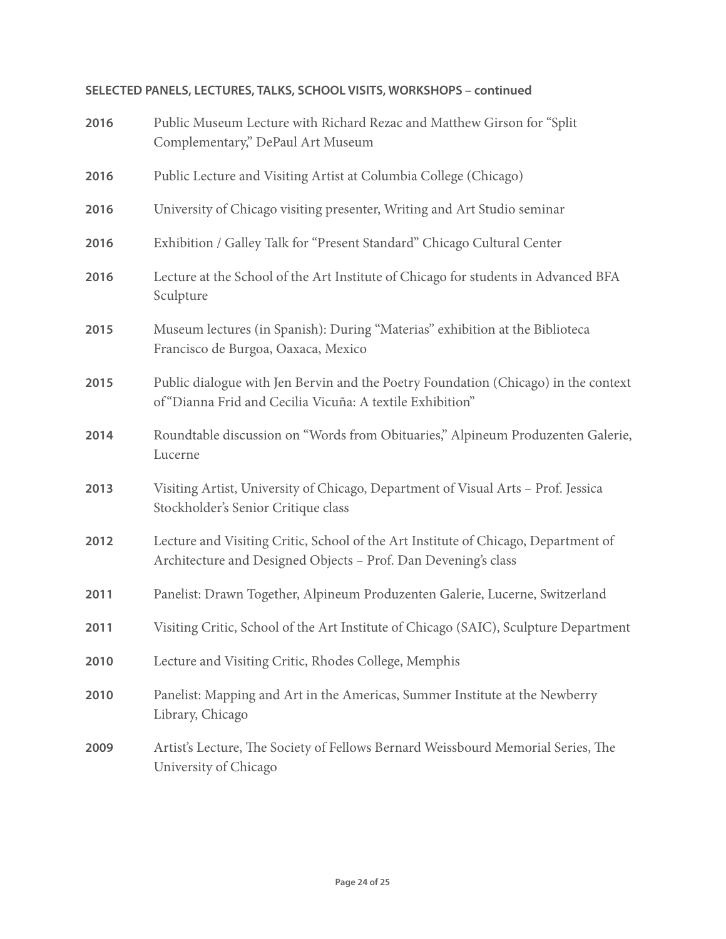# **SELECTED PANELS, LECTURES, TALKS, SCHOOL VISITS, WORKSHOPS – continued**

| 2016 | Public Museum Lecture with Richard Rezac and Matthew Girson for "Split"<br>Complementary," DePaul Art Museum                                         |  |  |  |  |
|------|------------------------------------------------------------------------------------------------------------------------------------------------------|--|--|--|--|
| 2016 | Public Lecture and Visiting Artist at Columbia College (Chicago)                                                                                     |  |  |  |  |
| 2016 | University of Chicago visiting presenter, Writing and Art Studio seminar                                                                             |  |  |  |  |
| 2016 | Exhibition / Galley Talk for "Present Standard" Chicago Cultural Center                                                                              |  |  |  |  |
| 2016 | Lecture at the School of the Art Institute of Chicago for students in Advanced BFA<br>Sculpture                                                      |  |  |  |  |
| 2015 | Museum lectures (in Spanish): During "Materias" exhibition at the Biblioteca<br>Francisco de Burgoa, Oaxaca, Mexico                                  |  |  |  |  |
| 2015 | Public dialogue with Jen Bervin and the Poetry Foundation (Chicago) in the context<br>of "Dianna Frid and Cecilia Vicuña: A textile Exhibition"      |  |  |  |  |
| 2014 | Roundtable discussion on "Words from Obituaries," Alpineum Produzenten Galerie,<br>Lucerne                                                           |  |  |  |  |
| 2013 | Visiting Artist, University of Chicago, Department of Visual Arts - Prof. Jessica<br>Stockholder's Senior Critique class                             |  |  |  |  |
| 2012 | Lecture and Visiting Critic, School of the Art Institute of Chicago, Department of<br>Architecture and Designed Objects - Prof. Dan Devening's class |  |  |  |  |
| 2011 | Panelist: Drawn Together, Alpineum Produzenten Galerie, Lucerne, Switzerland                                                                         |  |  |  |  |
| 2011 | Visiting Critic, School of the Art Institute of Chicago (SAIC), Sculpture Department                                                                 |  |  |  |  |
| 2010 | Lecture and Visiting Critic, Rhodes College, Memphis                                                                                                 |  |  |  |  |
| 2010 | Panelist: Mapping and Art in the Americas, Summer Institute at the Newberry<br>Library, Chicago                                                      |  |  |  |  |
| 2009 | Artist's Lecture, The Society of Fellows Bernard Weissbourd Memorial Series, The<br>University of Chicago                                            |  |  |  |  |